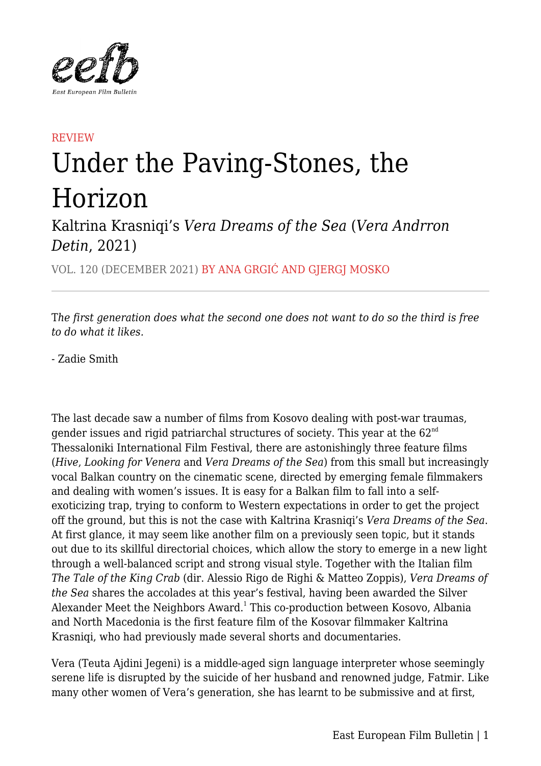

## **REVIEW** Under the Paving-Stones, the Horizon

Kaltrina Krasniqi's *Vera Dreams of the Sea* (*Vera Andrron Detin*, 2021)

VOL. 120 (DECEMBER 2021) BY ANA GRGIĆ AND GJERGJ MOSKO

T*he first generation does what the second one does not want to do so the third is free to do what it likes.*

- Zadie Smith

The last decade saw a number of films from Kosovo dealing with post-war traumas, gender issues and rigid patriarchal structures of society. This year at the  $62<sup>nd</sup>$ Thessaloniki International Film Festival, there are astonishingly three feature films (*Hive*, *Looking for Venera* and *Vera Dreams of the Sea*) from this small but increasingly vocal Balkan country on the cinematic scene, directed by emerging female filmmakers and dealing with women's issues. It is easy for a Balkan film to fall into a selfexoticizing trap, trying to conform to Western expectations in order to get the project off the ground, but this is not the case with Kaltrina Krasniqi's *Vera Dreams of the Sea*. At first glance, it may seem like another film on a previously seen topic, but it stands out due to its skillful directorial choices, which allow the story to emerge in a new light through a well-balanced script and strong visual style. Together with the Italian film *The Tale of the King Crab* (dir. Alessio Rigo de Righi & Matteo Zoppis), *Vera Dreams of the Sea* shares the accolades at this year's festival, having been awarded the Silver Alexander Meet the Neighbors Award.<sup>1</sup> This co-production between Kosovo, Albania and North Macedonia is the first feature film of the Kosovar filmmaker Kaltrina Krasniqi, who had previously made several shorts and documentaries.

Vera (Teuta Ajdini Jegeni) is a middle-aged sign language interpreter whose seemingly serene life is disrupted by the suicide of her husband and renowned judge, Fatmir. Like many other women of Vera's generation, she has learnt to be submissive and at first,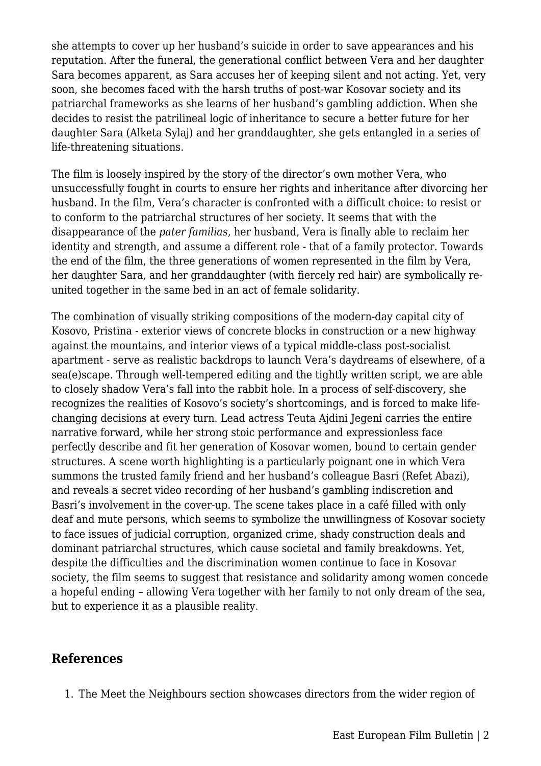she attempts to cover up her husband's suicide in order to save appearances and his reputation. After the funeral, the generational conflict between Vera and her daughter Sara becomes apparent, as Sara accuses her of keeping silent and not acting. Yet, very soon, she becomes faced with the harsh truths of post-war Kosovar society and its patriarchal frameworks as she learns of her husband's gambling addiction. When she decides to resist the patrilineal logic of inheritance to secure a better future for her daughter Sara (Alketa Sylaj) and her granddaughter, she gets entangled in a series of life-threatening situations.

The film is loosely inspired by the story of the director's own mother Vera, who unsuccessfully fought in courts to ensure her rights and inheritance after divorcing her husband. In the film, Vera's character is confronted with a difficult choice: to resist or to conform to the patriarchal structures of her society. It seems that with the disappearance of the *pater familias*, her husband, Vera is finally able to reclaim her identity and strength, and assume a different role - that of a family protector. Towards the end of the film, the three generations of women represented in the film by Vera, her daughter Sara, and her granddaughter (with fiercely red hair) are symbolically reunited together in the same bed in an act of female solidarity.

The combination of visually striking compositions of the modern-day capital city of Kosovo, Pristina - exterior views of concrete blocks in construction or a new highway against the mountains, and interior views of a typical middle-class post-socialist apartment - serve as realistic backdrops to launch Vera's daydreams of elsewhere, of a sea(e)scape. Through well-tempered editing and the tightly written script, we are able to closely shadow Vera's fall into the rabbit hole. In a process of self-discovery, she recognizes the realities of Kosovo's society's shortcomings, and is forced to make lifechanging decisions at every turn. Lead actress Teuta Ajdini Jegeni carries the entire narrative forward, while her strong stoic performance and expressionless face perfectly describe and fit her generation of Kosovar women, bound to certain gender structures. A scene worth highlighting is a particularly poignant one in which Vera summons the trusted family friend and her husband's colleague Basri (Refet Abazi), and reveals a secret video recording of her husband's gambling indiscretion and Basri's involvement in the cover-up. The scene takes place in a café filled with only deaf and mute persons, which seems to symbolize the unwillingness of Kosovar society to face issues of judicial corruption, organized crime, shady construction deals and dominant patriarchal structures, which cause societal and family breakdowns. Yet, despite the difficulties and the discrimination women continue to face in Kosovar society, the film seems to suggest that resistance and solidarity among women concede a hopeful ending – allowing Vera together with her family to not only dream of the sea, but to experience it as a plausible reality.

## **References**

1. The Meet the Neighbours section showcases directors from the wider region of